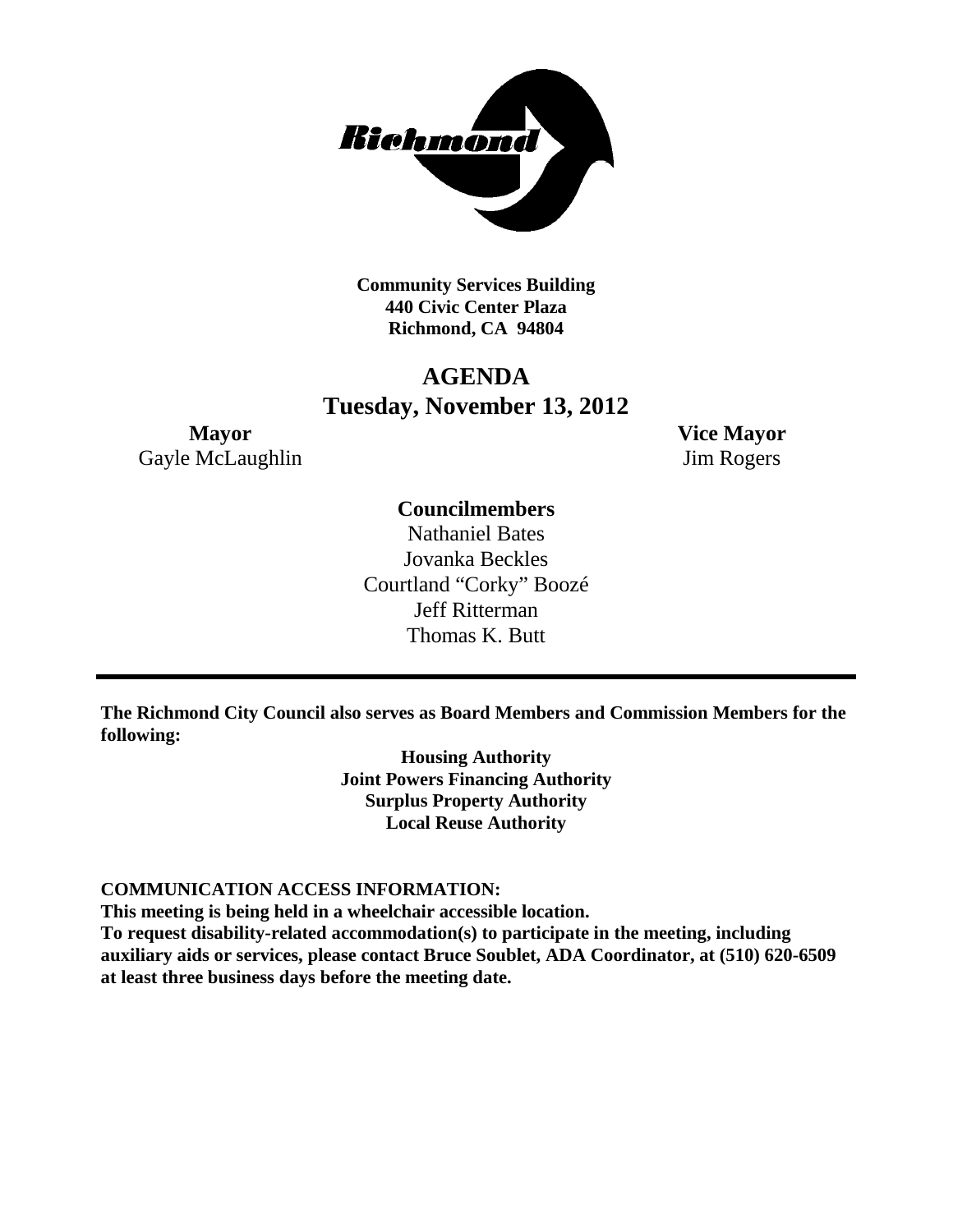

**Community Services Building 440 Civic Center Plaza Richmond, CA 94804**

# **AGENDA Tuesday, November 13, 2012**

**Mayor Vice Mayor** Gayle McLaughlin Jim Rogers

# **Councilmembers**

Nathaniel Bates Jovanka Beckles Courtland "Corky" Boozé Jeff Ritterman Thomas K. Butt

**The Richmond City Council also serves as Board Members and Commission Members for the following:**

> **Housing Authority Joint Powers Financing Authority Surplus Property Authority Local Reuse Authority**

### **COMMUNICATION ACCESS INFORMATION:**

**This meeting is being held in a wheelchair accessible location.**

**To request disability-related accommodation(s) to participate in the meeting, including auxiliary aids or services, please contact Bruce Soublet, ADA Coordinator, at (510) 620-6509 at least three business days before the meeting date.**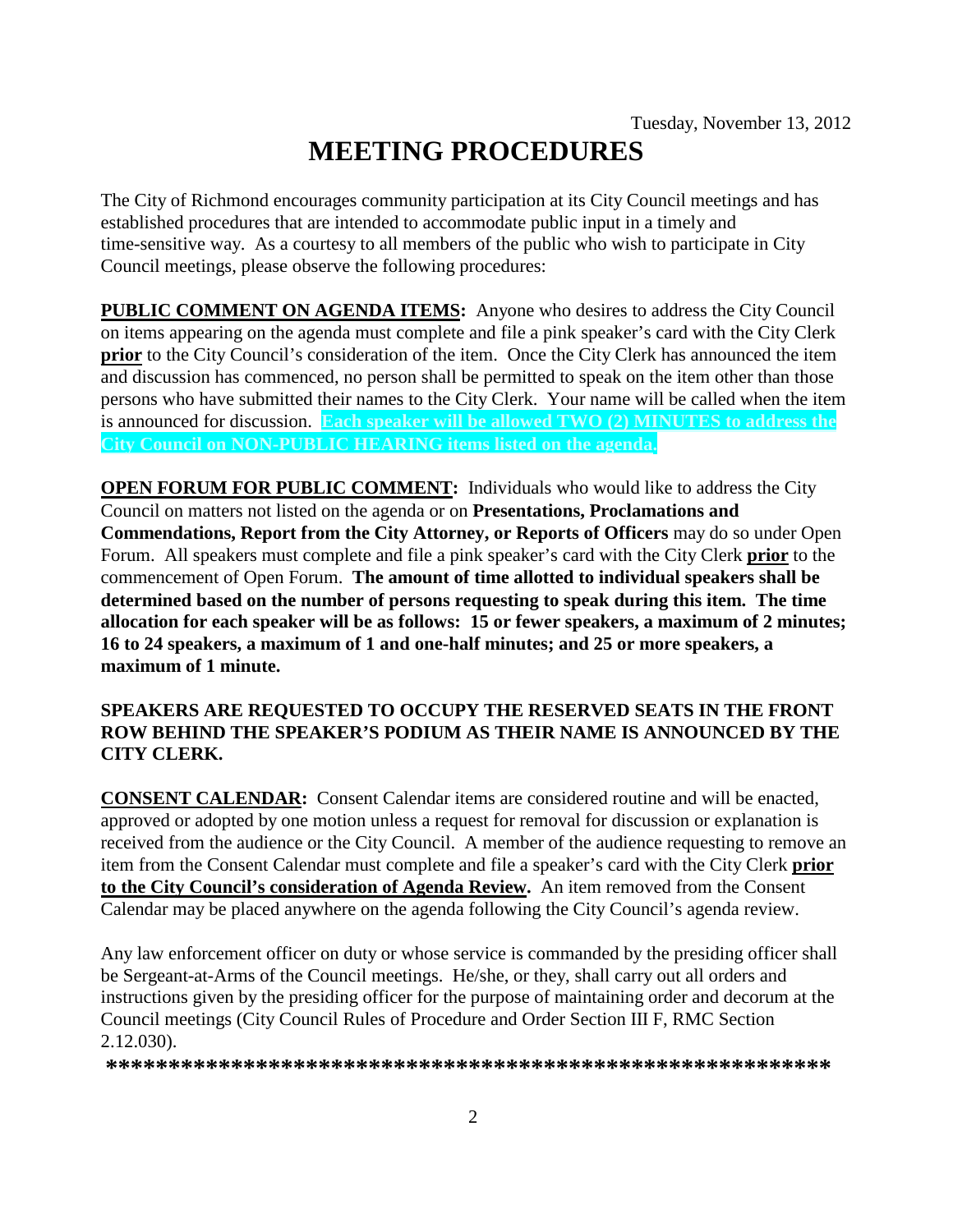# **MEETING PROCEDURES**

The City of Richmond encourages community participation at its City Council meetings and has established procedures that are intended to accommodate public input in a timely and time-sensitive way. As a courtesy to all members of the public who wish to participate in City Council meetings, please observe the following procedures:

**PUBLIC COMMENT ON AGENDA ITEMS:** Anyone who desires to address the City Council on items appearing on the agenda must complete and file a pink speaker's card with the City Clerk **prior** to the City Council's consideration of the item. Once the City Clerk has announced the item and discussion has commenced, no person shall be permitted to speak on the item other than those persons who have submitted their names to the City Clerk. Your name will be called when the item is announced for discussion. **Each speaker will be allowed TWO (2) MINUTES to address the City Council on NON-PUBLIC HEARING items listed on the agenda.**

**OPEN FORUM FOR PUBLIC COMMENT:** Individuals who would like to address the City Council on matters not listed on the agenda or on **Presentations, Proclamations and Commendations, Report from the City Attorney, or Reports of Officers** may do so under Open Forum. All speakers must complete and file a pink speaker's card with the City Clerk **prior** to the commencement of Open Forum. **The amount of time allotted to individual speakers shall be determined based on the number of persons requesting to speak during this item. The time allocation for each speaker will be as follows: 15 or fewer speakers, a maximum of 2 minutes; 16 to 24 speakers, a maximum of 1 and one-half minutes; and 25 or more speakers, a maximum of 1 minute.**

### **SPEAKERS ARE REQUESTED TO OCCUPY THE RESERVED SEATS IN THE FRONT ROW BEHIND THE SPEAKER'S PODIUM AS THEIR NAME IS ANNOUNCED BY THE CITY CLERK.**

**CONSENT CALENDAR:** Consent Calendar items are considered routine and will be enacted, approved or adopted by one motion unless a request for removal for discussion or explanation is received from the audience or the City Council. A member of the audience requesting to remove an item from the Consent Calendar must complete and file a speaker's card with the City Clerk **prior to the City Council's consideration of Agenda Review.** An item removed from the Consent Calendar may be placed anywhere on the agenda following the City Council's agenda review.

Any law enforcement officer on duty or whose service is commanded by the presiding officer shall be Sergeant-at-Arms of the Council meetings. He/she, or they, shall carry out all orders and instructions given by the presiding officer for the purpose of maintaining order and decorum at the Council meetings (City Council Rules of Procedure and Order Section III F, RMC Section 2.12.030).

**\*\*\*\*\*\*\*\*\*\*\*\*\*\*\*\*\*\*\*\*\*\*\*\*\*\*\*\*\*\*\*\*\*\*\*\*\*\*\*\*\*\*\*\*\*\*\*\*\*\*\*\*\*\*\*\*\*\***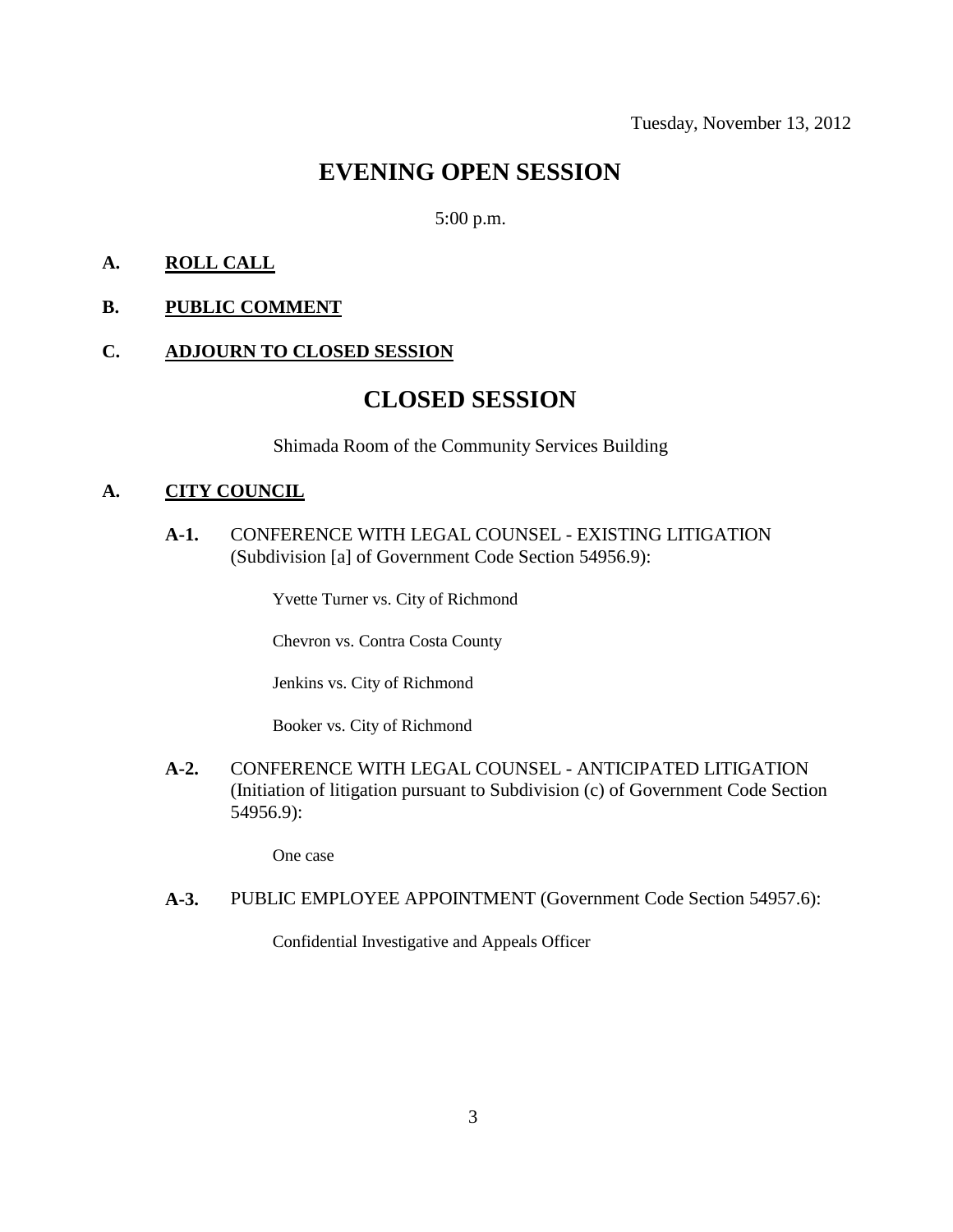# **EVENING OPEN SESSION**

### 5:00 p.m.

### **A. ROLL CALL**

### **B. PUBLIC COMMENT**

### **C. ADJOURN TO CLOSED SESSION**

# **CLOSED SESSION**

Shimada Room of the Community Services Building

#### **A. CITY COUNCIL**

**A-1.** CONFERENCE WITH LEGAL COUNSEL - EXISTING LITIGATION (Subdivision [a] of Government Code Section 54956.9):

Yvette Turner vs. City of Richmond

Chevron vs. Contra Costa County

Jenkins vs. City of Richmond

Booker vs. City of Richmond

**A-2.** CONFERENCE WITH LEGAL COUNSEL - ANTICIPATED LITIGATION (Initiation of litigation pursuant to Subdivision (c) of Government Code Section 54956.9):

One case

#### **A-3.** PUBLIC EMPLOYEE APPOINTMENT (Government Code Section 54957.6):

Confidential Investigative and Appeals Officer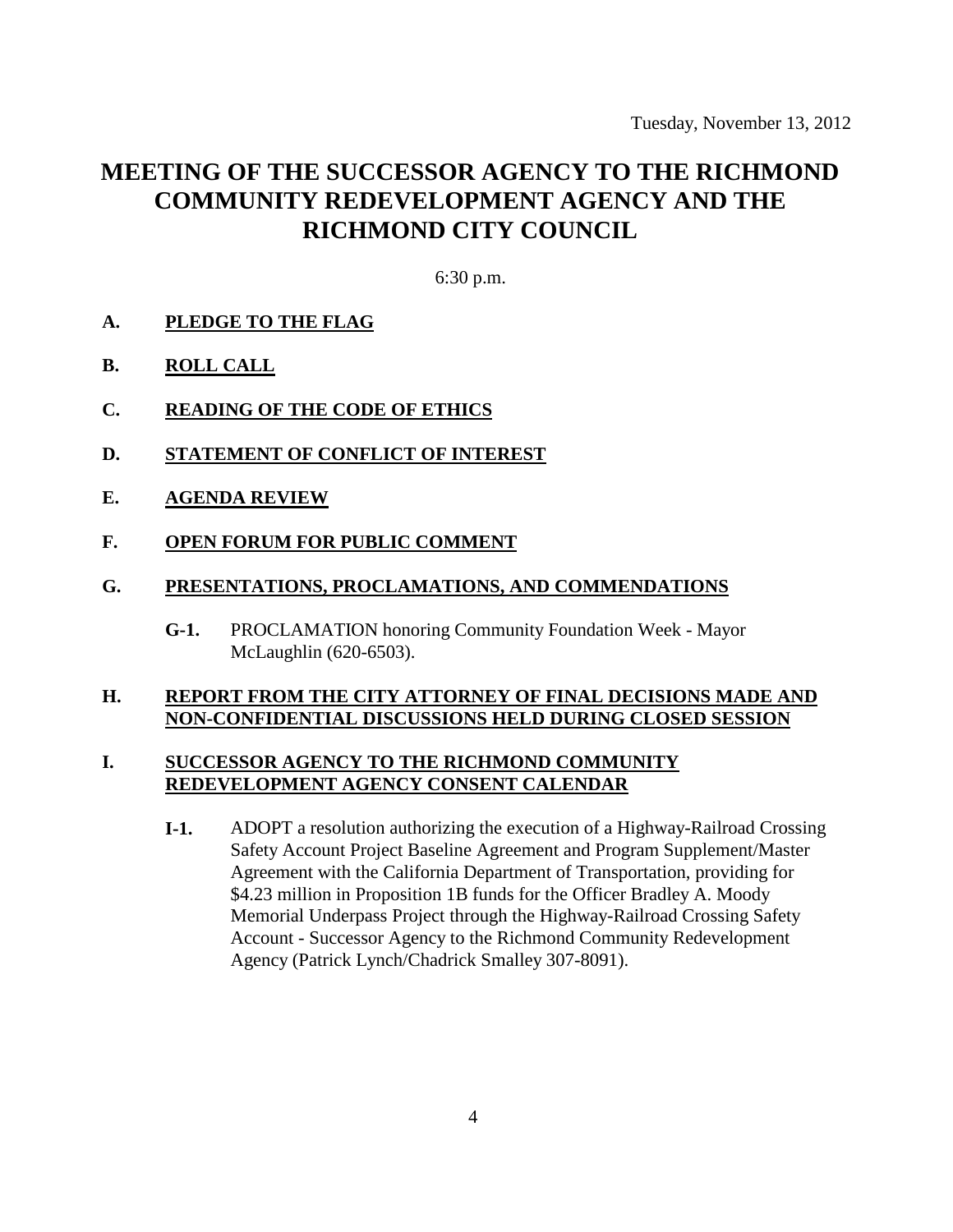Tuesday, November 13, 2012

# **MEETING OF THE SUCCESSOR AGENCY TO THE RICHMOND COMMUNITY REDEVELOPMENT AGENCY AND THE RICHMOND CITY COUNCIL**

6:30 p.m.

- **A. PLEDGE TO THE FLAG**
- **B. ROLL CALL**
- **C. READING OF THE CODE OF ETHICS**
- **D. STATEMENT OF CONFLICT OF INTEREST**
- **E. AGENDA REVIEW**
- **F. OPEN FORUM FOR PUBLIC COMMENT**
- **G. PRESENTATIONS, PROCLAMATIONS, AND COMMENDATIONS**
	- **G-1.** PROCLAMATION honoring Community Foundation Week Mayor McLaughlin (620-6503).

### **H. REPORT FROM THE CITY ATTORNEY OF FINAL DECISIONS MADE AND NON-CONFIDENTIAL DISCUSSIONS HELD DURING CLOSED SESSION**

### **I. SUCCESSOR AGENCY TO THE RICHMOND COMMUNITY REDEVELOPMENT AGENCY CONSENT CALENDAR**

**I-1.** ADOPT a resolution authorizing the execution of a Highway-Railroad Crossing Safety Account Project Baseline Agreement and Program Supplement/Master Agreement with the California Department of Transportation, providing for \$4.23 million in Proposition 1B funds for the Officer Bradley A. Moody Memorial Underpass Project through the Highway-Railroad Crossing Safety Account - Successor Agency to the Richmond Community Redevelopment Agency (Patrick Lynch/Chadrick Smalley 307-8091).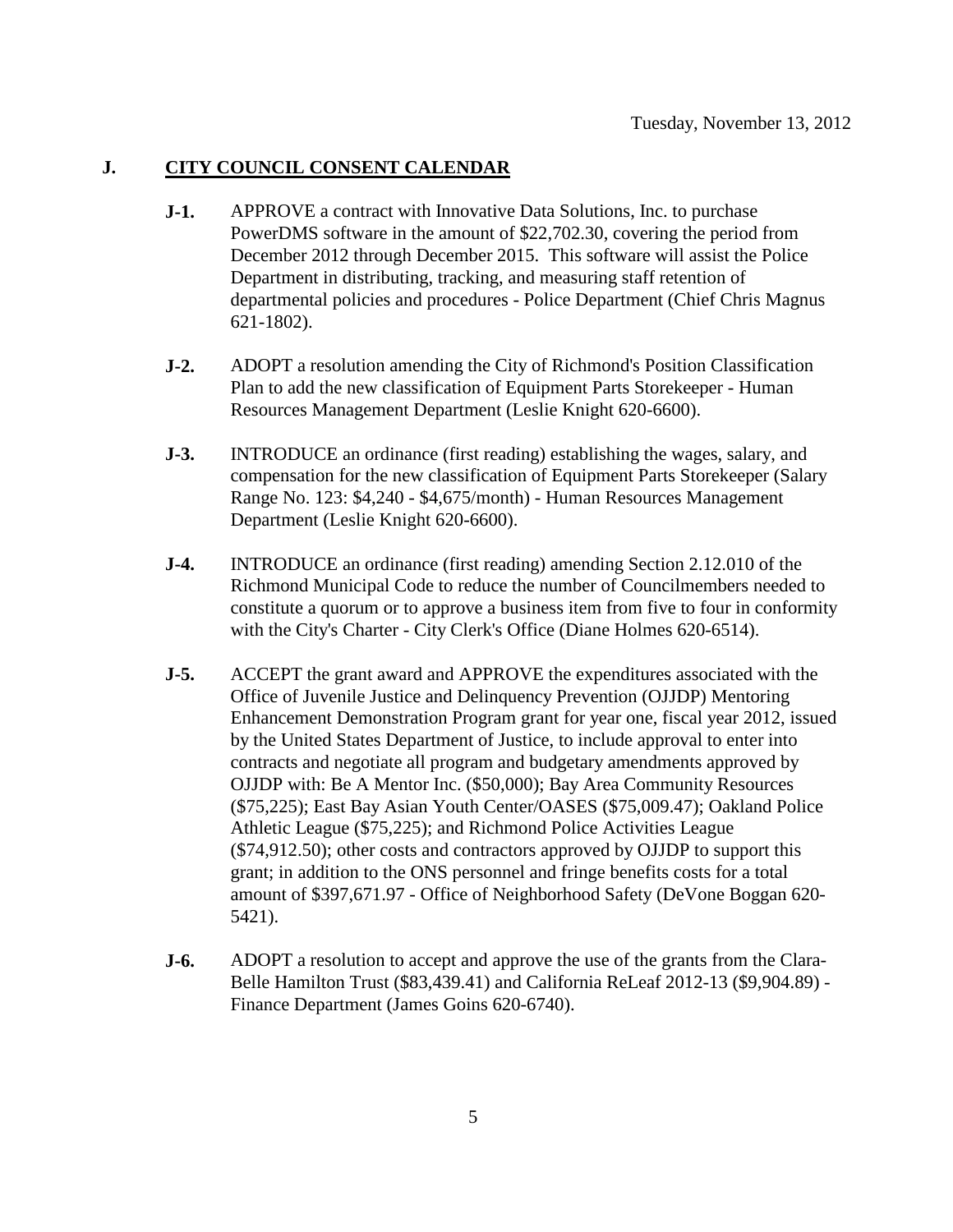### **J. CITY COUNCIL CONSENT CALENDAR**

- **J-1.** APPROVE a contract with Innovative Data Solutions, Inc. to purchase PowerDMS software in the amount of \$22,702.30, covering the period from December 2012 through December 2015. This software will assist the Police Department in distributing, tracking, and measuring staff retention of departmental policies and procedures - Police Department (Chief Chris Magnus 621-1802).
- **J-2.** ADOPT a resolution amending the City of Richmond's Position Classification Plan to add the new classification of Equipment Parts Storekeeper - Human Resources Management Department (Leslie Knight 620-6600).
- **J-3.** INTRODUCE an ordinance (first reading) establishing the wages, salary, and compensation for the new classification of Equipment Parts Storekeeper (Salary Range No. 123: \$4,240 - \$4,675/month) - Human Resources Management Department (Leslie Knight 620-6600).
- **J-4.** INTRODUCE an ordinance (first reading) amending Section 2.12.010 of the Richmond Municipal Code to reduce the number of Councilmembers needed to constitute a quorum or to approve a business item from five to four in conformity with the City's Charter - City Clerk's Office (Diane Holmes 620-6514).
- **J-5.** ACCEPT the grant award and APPROVE the expenditures associated with the Office of Juvenile Justice and Delinquency Prevention (OJJDP) Mentoring Enhancement Demonstration Program grant for year one, fiscal year 2012, issued by the United States Department of Justice, to include approval to enter into contracts and negotiate all program and budgetary amendments approved by OJJDP with: Be A Mentor Inc. (\$50,000); Bay Area Community Resources (\$75,225); East Bay Asian Youth Center/OASES (\$75,009.47); Oakland Police Athletic League (\$75,225); and Richmond Police Activities League (\$74,912.50); other costs and contractors approved by OJJDP to support this grant; in addition to the ONS personnel and fringe benefits costs for a total amount of \$397,671.97 - Office of Neighborhood Safety (DeVone Boggan 620- 5421).
- **J-6.** ADOPT a resolution to accept and approve the use of the grants from the Clara-Belle Hamilton Trust (\$83,439.41) and California ReLeaf 2012-13 (\$9,904.89) - Finance Department (James Goins 620-6740).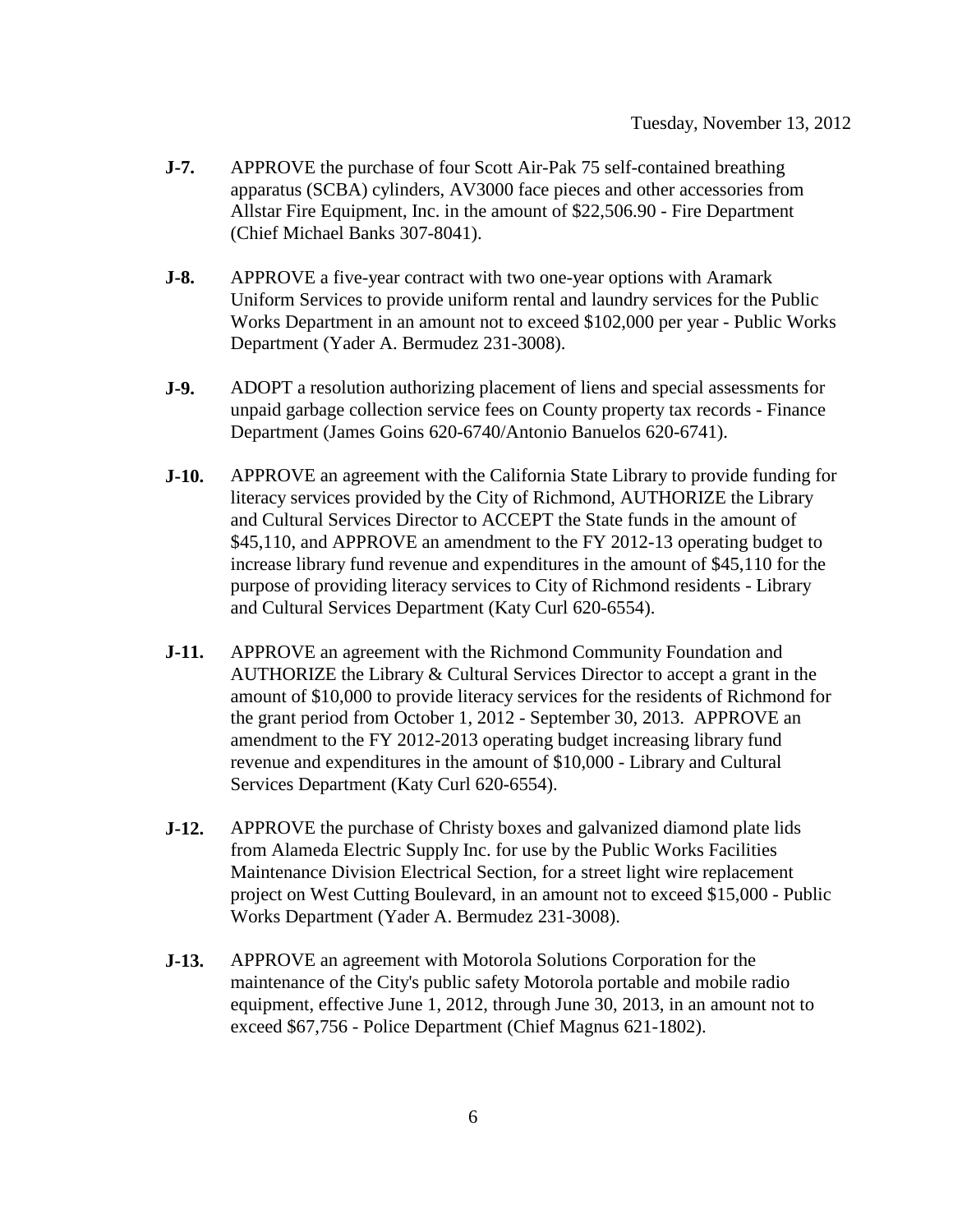- **J-7.** APPROVE the purchase of four Scott Air-Pak 75 self-contained breathing apparatus (SCBA) cylinders, AV3000 face pieces and other accessories from Allstar Fire Equipment, Inc. in the amount of \$22,506.90 - Fire Department (Chief Michael Banks 307-8041).
- **J-8.** APPROVE a five-year contract with two one-year options with Aramark Uniform Services to provide uniform rental and laundry services for the Public Works Department in an amount not to exceed \$102,000 per year - Public Works Department (Yader A. Bermudez 231-3008).
- **J-9.** ADOPT a resolution authorizing placement of liens and special assessments for unpaid garbage collection service fees on County property tax records - Finance Department (James Goins 620-6740/Antonio Banuelos 620-6741).
- **J-10.** APPROVE an agreement with the California State Library to provide funding for literacy services provided by the City of Richmond, AUTHORIZE the Library and Cultural Services Director to ACCEPT the State funds in the amount of \$45,110, and APPROVE an amendment to the FY 2012-13 operating budget to increase library fund revenue and expenditures in the amount of \$45,110 for the purpose of providing literacy services to City of Richmond residents - Library and Cultural Services Department (Katy Curl 620-6554).
- **J-11.** APPROVE an agreement with the Richmond Community Foundation and AUTHORIZE the Library & Cultural Services Director to accept a grant in the amount of \$10,000 to provide literacy services for the residents of Richmond for the grant period from October 1, 2012 - September 30, 2013. APPROVE an amendment to the FY 2012-2013 operating budget increasing library fund revenue and expenditures in the amount of \$10,000 - Library and Cultural Services Department (Katy Curl 620-6554).
- **J-12.** APPROVE the purchase of Christy boxes and galvanized diamond plate lids from Alameda Electric Supply Inc. for use by the Public Works Facilities Maintenance Division Electrical Section, for a street light wire replacement project on West Cutting Boulevard, in an amount not to exceed \$15,000 - Public Works Department (Yader A. Bermudez 231-3008).
- **J-13.** APPROVE an agreement with Motorola Solutions Corporation for the maintenance of the City's public safety Motorola portable and mobile radio equipment, effective June 1, 2012, through June 30, 2013, in an amount not to exceed \$67,756 - Police Department (Chief Magnus 621-1802).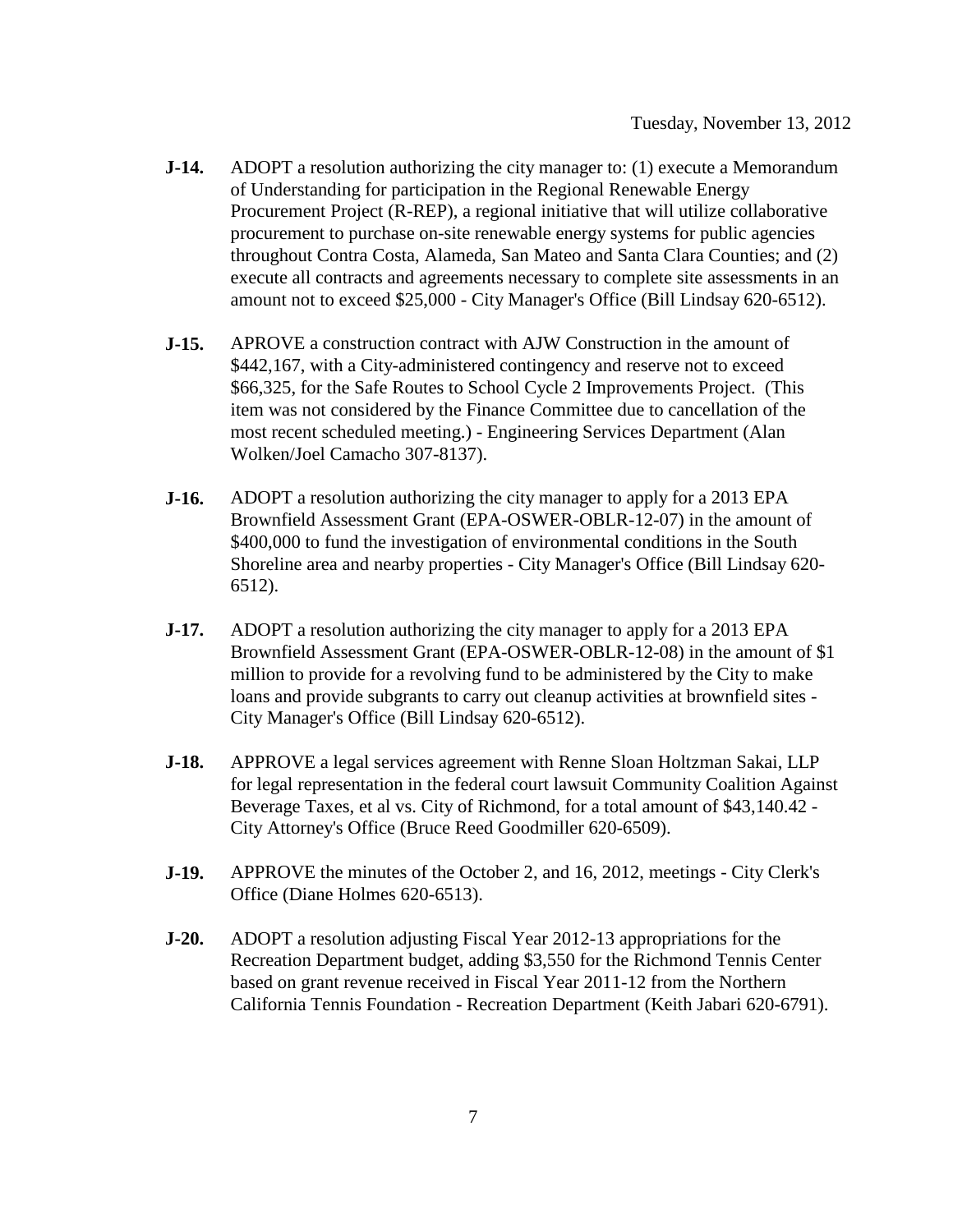- **J-14.** ADOPT a resolution authorizing the city manager to: (1) execute a Memorandum of Understanding for participation in the Regional Renewable Energy Procurement Project (R-REP), a regional initiative that will utilize collaborative procurement to purchase on-site renewable energy systems for public agencies throughout Contra Costa, Alameda, San Mateo and Santa Clara Counties; and (2) execute all contracts and agreements necessary to complete site assessments in an amount not to exceed \$25,000 - City Manager's Office (Bill Lindsay 620-6512).
- **J-15.** APROVE a construction contract with AJW Construction in the amount of \$442,167, with a City-administered contingency and reserve not to exceed \$66,325, for the Safe Routes to School Cycle 2 Improvements Project. (This item was not considered by the Finance Committee due to cancellation of the most recent scheduled meeting.) - Engineering Services Department (Alan Wolken/Joel Camacho 307-8137).
- **J-16.** ADOPT a resolution authorizing the city manager to apply for a 2013 EPA Brownfield Assessment Grant (EPA-OSWER-OBLR-12-07) in the amount of \$400,000 to fund the investigation of environmental conditions in the South Shoreline area and nearby properties - City Manager's Office (Bill Lindsay 620- 6512).
- **J-17.** ADOPT a resolution authorizing the city manager to apply for a 2013 EPA Brownfield Assessment Grant (EPA-OSWER-OBLR-12-08) in the amount of \$1 million to provide for a revolving fund to be administered by the City to make loans and provide subgrants to carry out cleanup activities at brownfield sites - City Manager's Office (Bill Lindsay 620-6512).
- **J-18.** APPROVE a legal services agreement with Renne Sloan Holtzman Sakai, LLP for legal representation in the federal court lawsuit Community Coalition Against Beverage Taxes, et al vs. City of Richmond, for a total amount of \$43,140.42 - City Attorney's Office (Bruce Reed Goodmiller 620-6509).
- **J-19.** APPROVE the minutes of the October 2, and 16, 2012, meetings City Clerk's Office (Diane Holmes 620-6513).
- **J-20.** ADOPT a resolution adjusting Fiscal Year 2012-13 appropriations for the Recreation Department budget, adding \$3,550 for the Richmond Tennis Center based on grant revenue received in Fiscal Year 2011-12 from the Northern California Tennis Foundation - Recreation Department (Keith Jabari 620-6791).